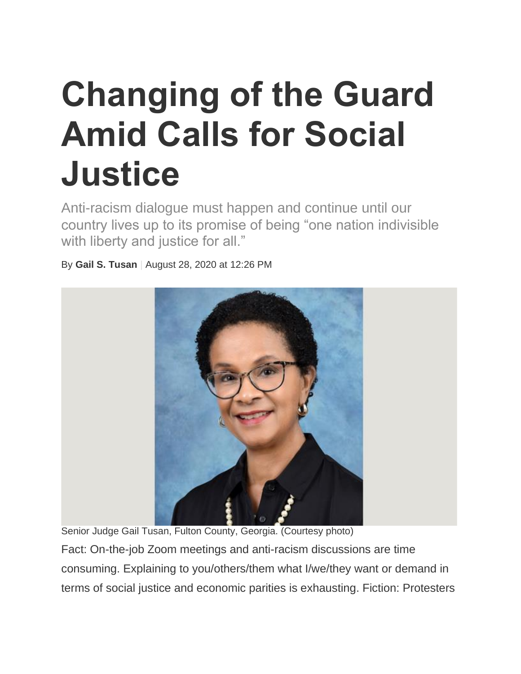## **Changing of the Guard Amid Calls for Social Justice**

Anti-racism dialogue must happen and continue until our country lives up to its promise of being "one nation indivisible with liberty and justice for all."

By **Gail S. Tusan** | August 28, 2020 at 12:26 PM



Senior Judge Gail Tusan, Fulton County, Georgia. (Courtesy photo)

Fact: On-the-job Zoom meetings and anti-racism discussions are time consuming. Explaining to you/others/them what I/we/they want or demand in terms of social justice and economic parities is exhausting. Fiction: Protesters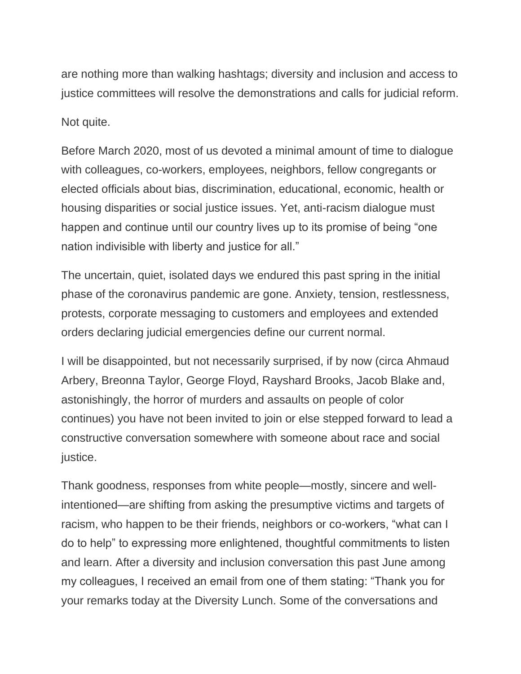are nothing more than walking hashtags; diversity and inclusion and access to justice committees will resolve the demonstrations and calls for judicial reform.

Not quite.

Before March 2020, most of us devoted a minimal amount of time to dialogue with colleagues, co-workers, employees, neighbors, fellow congregants or elected officials about bias, discrimination, educational, economic, health or housing disparities or social justice issues. Yet, anti-racism dialogue must happen and continue until our country lives up to its promise of being "one nation indivisible with liberty and justice for all."

The uncertain, quiet, isolated days we endured this past spring in the initial phase of the coronavirus pandemic are gone. Anxiety, tension, restlessness, protests, corporate messaging to customers and employees and extended orders declaring judicial emergencies define our current normal.

I will be disappointed, but not necessarily surprised, if by now (circa Ahmaud Arbery, Breonna Taylor, George Floyd, Rayshard Brooks, Jacob Blake and, astonishingly, the horror of murders and assaults on people of color continues) you have not been invited to join or else stepped forward to lead a constructive conversation somewhere with someone about race and social justice.

Thank goodness, responses from white people—mostly, sincere and wellintentioned—are shifting from asking the presumptive victims and targets of racism, who happen to be their friends, neighbors or co-workers, "what can I do to help" to expressing more enlightened, thoughtful commitments to listen and learn. After a diversity and inclusion conversation this past June among my colleagues, I received an email from one of them stating: "Thank you for your remarks today at the Diversity Lunch. Some of the conversations and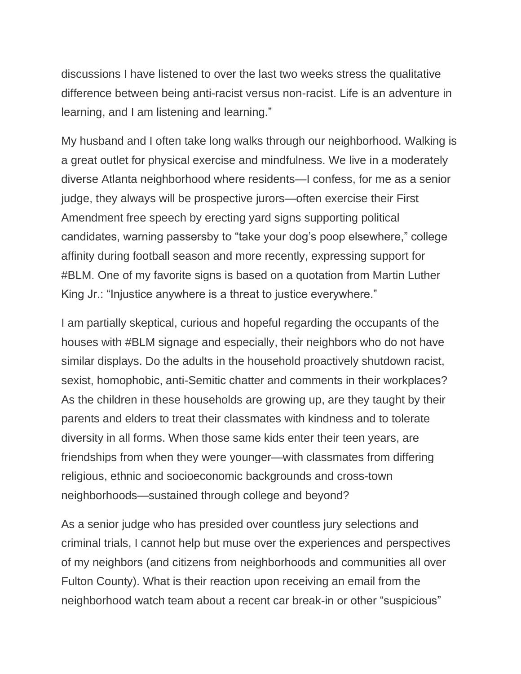discussions I have listened to over the last two weeks stress the qualitative difference between being anti-racist versus non-racist. Life is an adventure in learning, and I am listening and learning."

My husband and I often take long walks through our neighborhood. Walking is a great outlet for physical exercise and mindfulness. We live in a moderately diverse Atlanta neighborhood where residents—I confess, for me as a senior judge, they always will be prospective jurors—often exercise their First Amendment free speech by erecting yard signs supporting political candidates, warning passersby to "take your dog's poop elsewhere," college affinity during football season and more recently, expressing support for #BLM. One of my favorite signs is based on a quotation from Martin Luther King Jr.: "Injustice anywhere is a threat to justice everywhere."

I am partially skeptical, curious and hopeful regarding the occupants of the houses with #BLM signage and especially, their neighbors who do not have similar displays. Do the adults in the household proactively shutdown racist, sexist, homophobic, anti-Semitic chatter and comments in their workplaces? As the children in these households are growing up, are they taught by their parents and elders to treat their classmates with kindness and to tolerate diversity in all forms. When those same kids enter their teen years, are friendships from when they were younger—with classmates from differing religious, ethnic and socioeconomic backgrounds and cross-town neighborhoods—sustained through college and beyond?

As a senior judge who has presided over countless jury selections and criminal trials, I cannot help but muse over the experiences and perspectives of my neighbors (and citizens from neighborhoods and communities all over Fulton County). What is their reaction upon receiving an email from the neighborhood watch team about a recent car break-in or other "suspicious"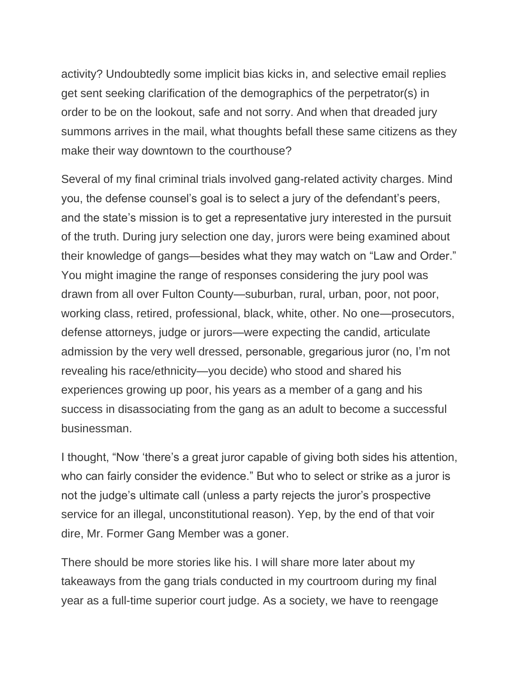activity? Undoubtedly some implicit bias kicks in, and selective email replies get sent seeking clarification of the demographics of the perpetrator(s) in order to be on the lookout, safe and not sorry. And when that dreaded jury summons arrives in the mail, what thoughts befall these same citizens as they make their way downtown to the courthouse?

Several of my final criminal trials involved gang-related activity charges. Mind you, the defense counsel's goal is to select a jury of the defendant's peers, and the state's mission is to get a representative jury interested in the pursuit of the truth. During jury selection one day, jurors were being examined about their knowledge of gangs—besides what they may watch on "Law and Order." You might imagine the range of responses considering the jury pool was drawn from all over Fulton County—suburban, rural, urban, poor, not poor, working class, retired, professional, black, white, other. No one—prosecutors, defense attorneys, judge or jurors—were expecting the candid, articulate admission by the very well dressed, personable, gregarious juror (no, I'm not revealing his race/ethnicity—you decide) who stood and shared his experiences growing up poor, his years as a member of a gang and his success in disassociating from the gang as an adult to become a successful businessman.

I thought, "Now 'there's a great juror capable of giving both sides his attention, who can fairly consider the evidence." But who to select or strike as a juror is not the judge's ultimate call (unless a party rejects the juror's prospective service for an illegal, unconstitutional reason). Yep, by the end of that voir dire, Mr. Former Gang Member was a goner.

There should be more stories like his. I will share more later about my takeaways from the gang trials conducted in my courtroom during my final year as a full-time superior court judge. As a society, we have to reengage